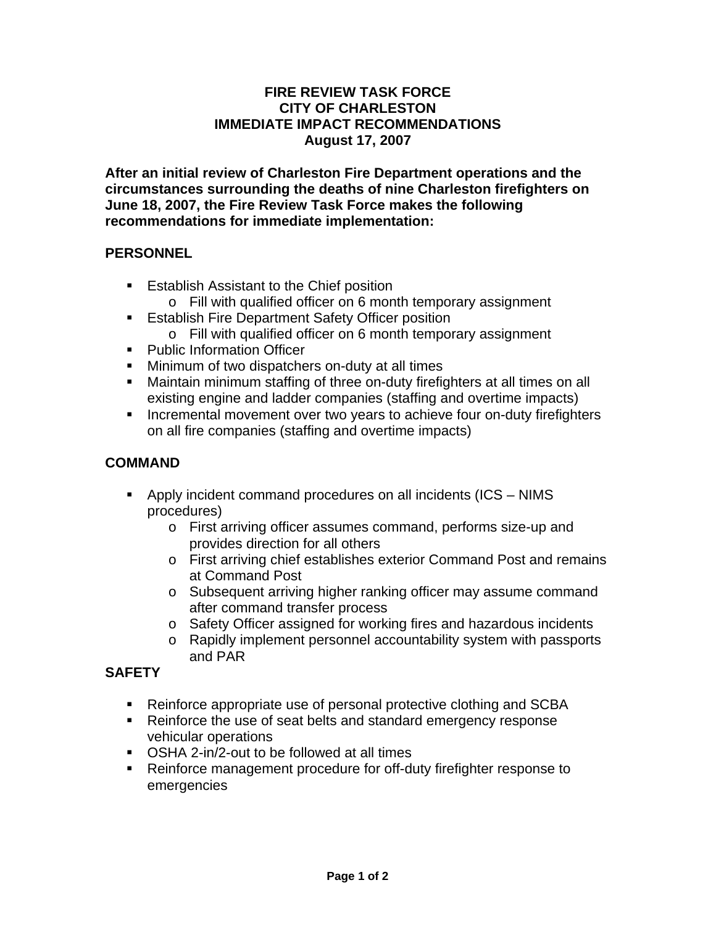#### **FIRE REVIEW TASK FORCE CITY OF CHARLESTON IMMEDIATE IMPACT RECOMMENDATIONS August 17, 2007**

**After an initial review of Charleston Fire Department operations and the circumstances surrounding the deaths of nine Charleston firefighters on June 18, 2007, the Fire Review Task Force makes the following recommendations for immediate implementation:** 

#### **PERSONNEL**

- **Establish Assistant to the Chief position** 
	- o Fill with qualified officer on 6 month temporary assignment
- **Establish Fire Department Safety Officer position** 
	- o Fill with qualified officer on 6 month temporary assignment
- **Public Information Officer**
- **Minimum of two dispatchers on-duty at all times**
- Maintain minimum staffing of three on-duty firefighters at all times on all existing engine and ladder companies (staffing and overtime impacts)
- **Incremental movement over two years to achieve four on-duty firefighters** on all fire companies (staffing and overtime impacts)

## **COMMAND**

- Apply incident command procedures on all incidents (ICS NIMS procedures)
	- o First arriving officer assumes command, performs size-up and provides direction for all others
	- o First arriving chief establishes exterior Command Post and remains at Command Post
	- o Subsequent arriving higher ranking officer may assume command after command transfer process
	- o Safety Officer assigned for working fires and hazardous incidents
	- o Rapidly implement personnel accountability system with passports and PAR

## **SAFETY**

- Reinforce appropriate use of personal protective clothing and SCBA
- Reinforce the use of seat belts and standard emergency response vehicular operations
- OSHA 2-in/2-out to be followed at all times
- Reinforce management procedure for off-duty firefighter response to emergencies